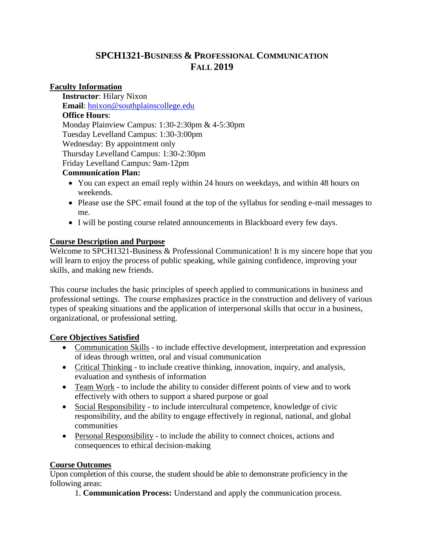# **SPCH1321-BUSINESS & PROFESSIONAL COMMUNICATION FALL 2019**

### **Faculty Information**

**Instructor**: Hilary Nixon **Email**: [hnixon@southplainscollege.edu](mailto:hnixon@southplainscollege.edu) **Office Hours**: Monday Plainview Campus: 1:30-2:30pm & 4-5:30pm Tuesday Levelland Campus: 1:30-3:00pm Wednesday: By appointment only Thursday Levelland Campus: 1:30-2:30pm Friday Levelland Campus: 9am-12pm

### **Communication Plan:**

- You can expect an email reply within 24 hours on weekdays, and within 48 hours on weekends.
- Please use the SPC email found at the top of the syllabus for sending e-mail messages to me.
- I will be posting course related announcements in Blackboard every few days.

# **Course Description and Purpose**

Welcome to SPCH1321-Business & Professional Communication! It is my sincere hope that you will learn to enjoy the process of public speaking, while gaining confidence, improving your skills, and making new friends.

This course includes the basic principles of speech applied to communications in business and professional settings. The course emphasizes practice in the construction and delivery of various types of speaking situations and the application of interpersonal skills that occur in a business, organizational, or professional setting.

# **Core Objectives Satisfied**

- Communication Skills to include effective development, interpretation and expression of ideas through written, oral and visual communication
- Critical Thinking to include creative thinking, innovation, inquiry, and analysis, evaluation and synthesis of information
- Team Work to include the ability to consider different points of view and to work effectively with others to support a shared purpose or goal
- Social Responsibility to include intercultural competence, knowledge of civic responsibility, and the ability to engage effectively in regional, national, and global communities
- Personal Responsibility to include the ability to connect choices, actions and consequences to ethical decision-making

# **Course Outcomes**

Upon completion of this course, the student should be able to demonstrate proficiency in the following areas:

1. **Communication Process:** Understand and apply the communication process.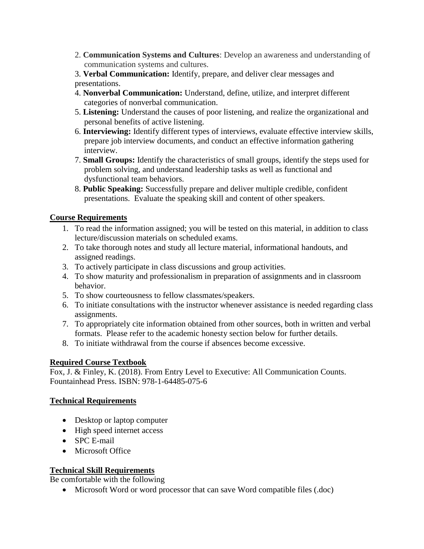2. **Communication Systems and Cultures**: Develop an awareness and understanding of communication systems and cultures.

3. **Verbal Communication:** Identify, prepare, and deliver clear messages and presentations.

- 4. **Nonverbal Communication:** Understand, define, utilize, and interpret different categories of nonverbal communication.
- 5. **Listening:** Understand the causes of poor listening, and realize the organizational and personal benefits of active listening.
- 6. **Interviewing:** Identify different types of interviews, evaluate effective interview skills, prepare job interview documents, and conduct an effective information gathering interview.
- 7. **Small Groups:** Identify the characteristics of small groups, identify the steps used for problem solving, and understand leadership tasks as well as functional and dysfunctional team behaviors.
- 8. **Public Speaking:** Successfully prepare and deliver multiple credible, confident presentations. Evaluate the speaking skill and content of other speakers.

# **Course Requirements**

- 1. To read the information assigned; you will be tested on this material, in addition to class lecture/discussion materials on scheduled exams.
- 2. To take thorough notes and study all lecture material, informational handouts, and assigned readings.
- 3. To actively participate in class discussions and group activities.
- 4. To show maturity and professionalism in preparation of assignments and in classroom behavior.
- 5. To show courteousness to fellow classmates/speakers.
- 6. To initiate consultations with the instructor whenever assistance is needed regarding class assignments.
- 7. To appropriately cite information obtained from other sources, both in written and verbal formats. Please refer to the academic honesty section below for further details.
- 8. To initiate withdrawal from the course if absences become excessive.

# **Required Course Textbook**

Fox, J. & Finley, K. (2018). From Entry Level to Executive: All Communication Counts. Fountainhead Press. ISBN: 978-1-64485-075-6

### **Technical Requirements**

- Desktop or laptop computer
- High speed internet access
- SPC E-mail
- Microsoft Office

# **Technical Skill Requirements**

Be comfortable with the following

Microsoft Word or word processor that can save Word compatible files (.doc)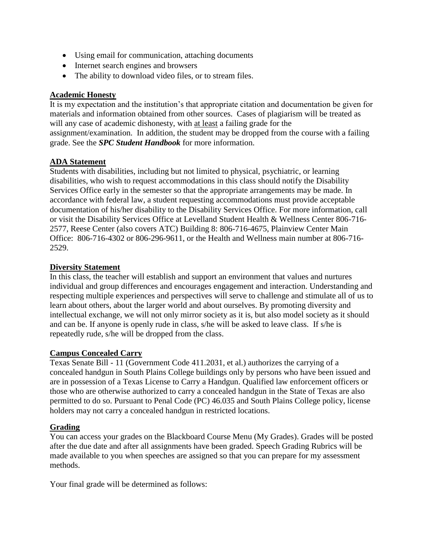- Using email for communication, attaching documents
- Internet search engines and browsers
- The ability to download video files, or to stream files.

#### **Academic Honesty**

It is my expectation and the institution's that appropriate citation and documentation be given for materials and information obtained from other sources. Cases of plagiarism will be treated as will any case of academic dishonesty, with at least a failing grade for the assignment/examination. In addition, the student may be dropped from the course with a failing grade. See the *SPC Student Handbook* for more information.

#### **ADA Statement**

Students with disabilities, including but not limited to physical, psychiatric, or learning disabilities, who wish to request accommodations in this class should notify the Disability Services Office early in the semester so that the appropriate arrangements may be made. In accordance with federal law, a student requesting accommodations must provide acceptable documentation of his/her disability to the Disability Services Office. For more information, call or visit the Disability Services Office at Levelland Student Health & Wellness Center 806-716- 2577, Reese Center (also covers ATC) Building 8: 806-716-4675, Plainview Center Main Office: 806-716-4302 or 806-296-9611, or the Health and Wellness main number at 806-716- 2529.

#### **Diversity Statement**

In this class, the teacher will establish and support an environment that values and nurtures individual and group differences and encourages engagement and interaction. Understanding and respecting multiple experiences and perspectives will serve to challenge and stimulate all of us to learn about others, about the larger world and about ourselves. By promoting diversity and intellectual exchange, we will not only mirror society as it is, but also model society as it should and can be. If anyone is openly rude in class, s/he will be asked to leave class. If s/he is repeatedly rude, s/he will be dropped from the class.

### **Campus Concealed Carry**

Texas Senate Bill - 11 (Government Code 411.2031, et al.) authorizes the carrying of a concealed handgun in South Plains College buildings only by persons who have been issued and are in possession of a Texas License to Carry a Handgun. Qualified law enforcement officers or those who are otherwise authorized to carry a concealed handgun in the State of Texas are also permitted to do so. Pursuant to Penal Code (PC) 46.035 and South Plains College policy, license holders may not carry a concealed handgun in restricted locations.

### **Grading**

You can access your grades on the Blackboard Course Menu (My Grades). Grades will be posted after the due date and after all assignments have been graded. Speech Grading Rubrics will be made available to you when speeches are assigned so that you can prepare for my assessment methods.

Your final grade will be determined as follows: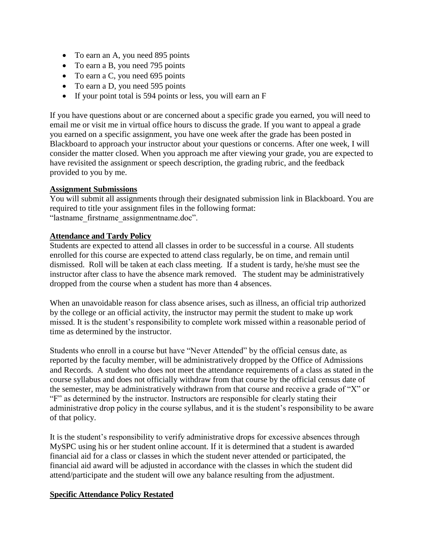- To earn an A, you need 895 points
- To earn a B, you need 795 points
- To earn a C, you need 695 points
- To earn a D, you need 595 points
- $\bullet$  If your point total is 594 points or less, you will earn an F

If you have questions about or are concerned about a specific grade you earned, you will need to email me or visit me in virtual office hours to discuss the grade. If you want to appeal a grade you earned on a specific assignment, you have one week after the grade has been posted in Blackboard to approach your instructor about your questions or concerns. After one week, I will consider the matter closed. When you approach me after viewing your grade, you are expected to have revisited the assignment or speech description, the grading rubric, and the feedback provided to you by me.

### **Assignment Submissions**

You will submit all assignments through their designated submission link in Blackboard. You are required to title your assignment files in the following format: "lastname\_firstname\_assignmentname.doc".

#### **Attendance and Tardy Policy**

Students are expected to attend all classes in order to be successful in a course. All students enrolled for this course are expected to attend class regularly, be on time, and remain until dismissed. Roll will be taken at each class meeting. If a student is tardy, he/she must see the instructor after class to have the absence mark removed. The student may be administratively dropped from the course when a student has more than 4 absences.

When an unavoidable reason for class absence arises, such as illness, an official trip authorized by the college or an official activity, the instructor may permit the student to make up work missed. It is the student's responsibility to complete work missed within a reasonable period of time as determined by the instructor.

Students who enroll in a course but have "Never Attended" by the official census date, as reported by the faculty member, will be administratively dropped by the Office of Admissions and Records. A student who does not meet the attendance requirements of a class as stated in the course syllabus and does not officially withdraw from that course by the official census date of the semester, may be administratively withdrawn from that course and receive a grade of "X" or "F" as determined by the instructor. Instructors are responsible for clearly stating their administrative drop policy in the course syllabus, and it is the student's responsibility to be aware of that policy.

It is the student's responsibility to verify administrative drops for excessive absences through MySPC using his or her student online account. If it is determined that a student is awarded financial aid for a class or classes in which the student never attended or participated, the financial aid award will be adjusted in accordance with the classes in which the student did attend/participate and the student will owe any balance resulting from the adjustment.

### **Specific Attendance Policy Restated**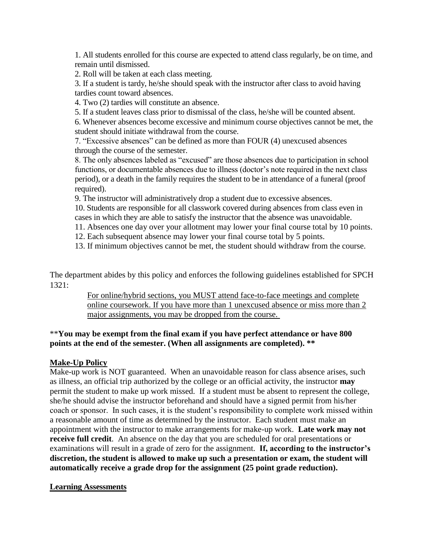1. All students enrolled for this course are expected to attend class regularly, be on time, and remain until dismissed.

2. Roll will be taken at each class meeting.

3. If a student is tardy, he/she should speak with the instructor after class to avoid having tardies count toward absences.

4. Two (2) tardies will constitute an absence.

5. If a student leaves class prior to dismissal of the class, he/she will be counted absent.

6. Whenever absences become excessive and minimum course objectives cannot be met, the student should initiate withdrawal from the course.

7. "Excessive absences" can be defined as more than FOUR (4) unexcused absences through the course of the semester.

8. The only absences labeled as "excused" are those absences due to participation in school functions, or documentable absences due to illness (doctor's note required in the next class period), or a death in the family requires the student to be in attendance of a funeral (proof required).

9. The instructor will administratively drop a student due to excessive absences.

10. Students are responsible for all classwork covered during absences from class even in cases in which they are able to satisfy the instructor that the absence was unavoidable.

11. Absences one day over your allotment may lower your final course total by 10 points.

12. Each subsequent absence may lower your final course total by 5 points.

13. If minimum objectives cannot be met, the student should withdraw from the course.

The department abides by this policy and enforces the following guidelines established for SPCH 1321:

> For online/hybrid sections, you MUST attend face-to-face meetings and complete online coursework. If you have more than 1 unexcused absence or miss more than 2 major assignments, you may be dropped from the course.

# \*\***You may be exempt from the final exam if you have perfect attendance or have 800 points at the end of the semester. (When all assignments are completed). \*\***

### **Make-Up Policy**

Make-up work is NOT guaranteed. When an unavoidable reason for class absence arises, such as illness, an official trip authorized by the college or an official activity, the instructor **may** permit the student to make up work missed. If a student must be absent to represent the college, she/he should advise the instructor beforehand and should have a signed permit from his/her coach or sponsor. In such cases, it is the student's responsibility to complete work missed within a reasonable amount of time as determined by the instructor. Each student must make an appointment with the instructor to make arrangements for make-up work. **Late work may not receive full credit**. An absence on the day that you are scheduled for oral presentations or examinations will result in a grade of zero for the assignment. **If, according to the instructor's discretion, the student is allowed to make up such a presentation or exam, the student will automatically receive a grade drop for the assignment (25 point grade reduction).**

#### **Learning Assessments**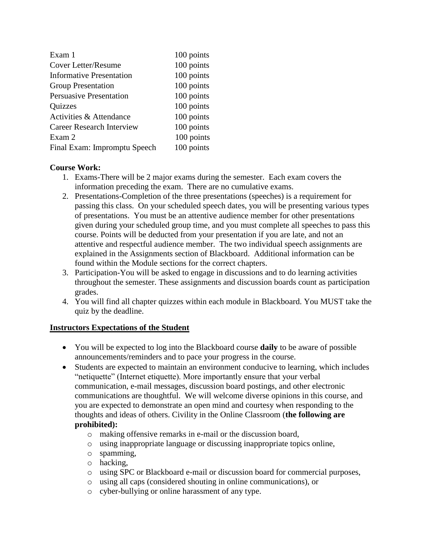| Exam 1                           | 100 points |
|----------------------------------|------------|
| <b>Cover Letter/Resume</b>       | 100 points |
| <b>Informative Presentation</b>  | 100 points |
| <b>Group Presentation</b>        | 100 points |
| <b>Persuasive Presentation</b>   | 100 points |
| <b>Quizzes</b>                   | 100 points |
| Activities & Attendance          | 100 points |
| <b>Career Research Interview</b> | 100 points |
| Exam 2                           | 100 points |
| Final Exam: Impromptu Speech     | 100 points |

# **Course Work:**

- 1. Exams-There will be 2 major exams during the semester. Each exam covers the information preceding the exam. There are no cumulative exams.
- 2. Presentations-Completion of the three presentations (speeches) is a requirement for passing this class. On your scheduled speech dates, you will be presenting various types of presentations. You must be an attentive audience member for other presentations given during your scheduled group time, and you must complete all speeches to pass this course. Points will be deducted from your presentation if you are late, and not an attentive and respectful audience member. The two individual speech assignments are explained in the Assignments section of Blackboard. Additional information can be found within the Module sections for the correct chapters.
- 3. Participation-You will be asked to engage in discussions and to do learning activities throughout the semester. These assignments and discussion boards count as participation grades.
- 4. You will find all chapter quizzes within each module in Blackboard. You MUST take the quiz by the deadline.

### **Instructors Expectations of the Student**

- You will be expected to log into the Blackboard course **daily** to be aware of possible announcements/reminders and to pace your progress in the course.
- Students are expected to maintain an environment conducive to learning, which includes "netiquette" (Internet etiquette). More importantly ensure that your verbal communication, e-mail messages, discussion board postings, and other electronic communications are thoughtful. We will welcome diverse opinions in this course, and you are expected to demonstrate an open mind and courtesy when responding to the thoughts and ideas of others. Civility in the Online Classroom (**the following are prohibited):** 
	- o making offensive remarks in e-mail or the discussion board,
	- o using inappropriate language or discussing inappropriate topics online,
	- o spamming,
	- o hacking,
	- o using SPC or Blackboard e-mail or discussion board for commercial purposes,
	- o using all caps (considered shouting in online communications), or
	- o cyber-bullying or online harassment of any type.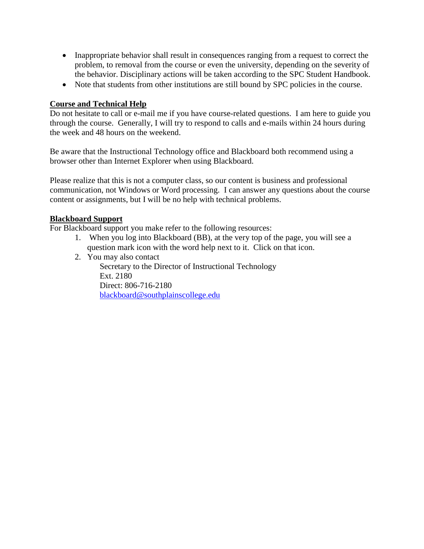- Inappropriate behavior shall result in consequences ranging from a request to correct the problem, to removal from the course or even the university, depending on the severity of the behavior. Disciplinary actions will be taken according to the SPC Student Handbook.
- Note that students from other institutions are still bound by SPC policies in the course.

#### **Course and Technical Help**

Do not hesitate to call or e-mail me if you have course-related questions. I am here to guide you through the course. Generally, I will try to respond to calls and e-mails within 24 hours during the week and 48 hours on the weekend.

Be aware that the Instructional Technology office and Blackboard both recommend using a browser other than Internet Explorer when using Blackboard.

Please realize that this is not a computer class, so our content is business and professional communication, not Windows or Word processing. I can answer any questions about the course content or assignments, but I will be no help with technical problems.

#### **Blackboard Support**

For Blackboard support you make refer to the following resources:

- 1. When you log into Blackboard (BB), at the very top of the page, you will see a question mark icon with the word help next to it. Click on that icon.
- 2. You may also contact

Secretary to the Director of Instructional Technology Ext. 2180 Direct: 806-716-2180 [blackboard@southplainscollege.edu](mailto:jetucker@southplainscollege.edu)